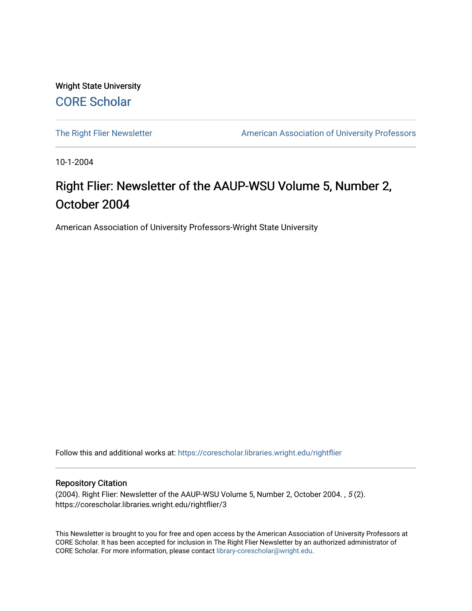Wright State University [CORE Scholar](https://corescholar.libraries.wright.edu/)

[The Right Flier Newsletter](https://corescholar.libraries.wright.edu/rightflier) **American Association of University Professors** 

10-1-2004

## Right Flier: Newsletter of the AAUP-WSU Volume 5, Number 2, October 2004

American Association of University Professors-Wright State University

Follow this and additional works at: [https://corescholar.libraries.wright.edu/rightflier](https://corescholar.libraries.wright.edu/rightflier?utm_source=corescholar.libraries.wright.edu%2Frightflier%2F3&utm_medium=PDF&utm_campaign=PDFCoverPages) 

#### Repository Citation

(2004). Right Flier: Newsletter of the AAUP-WSU Volume 5, Number 2, October 2004. , 5 (2). https://corescholar.libraries.wright.edu/rightflier/3

This Newsletter is brought to you for free and open access by the American Association of University Professors at CORE Scholar. It has been accepted for inclusion in The Right Flier Newsletter by an authorized administrator of CORE Scholar. For more information, please contact [library-corescholar@wright.edu](mailto:library-corescholar@wright.edu).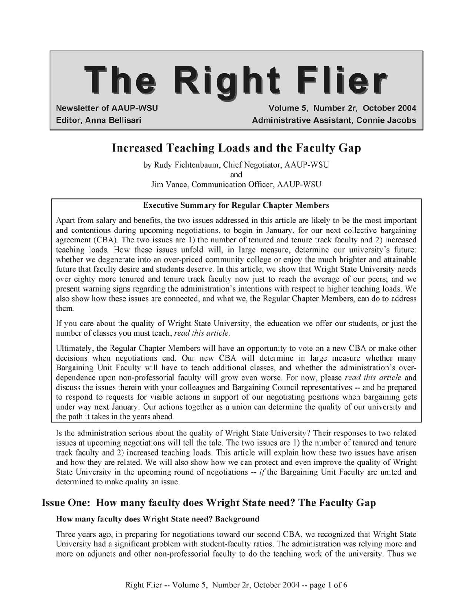# **The Right Flier**

Newsletter of AAUP-WSU Volume 5, Number 2r, October 2004 Editor, Anna Bellisari Administrative Assistant, Connie Jacobs

### Increased Teaching Loads and the Faculty Gap

by Rudy Fichtenbaum, Chief Negotiator, AAUP-WSU and Jim Vance, Communication Officer, AAUP-WSU

#### Executive Summary for Regular Chapter Members

Apart from salary and benefits, the two issues addressed in this article are likely to be the most important and contentious during upcoming negotiations, to begin in January, for our next collective bargaining agreement (CBA). The two issues are 1) the number of tenured and tenure track faculty and 2) increased teaching loads. How these issues unfold will, in large measure, determine our university's future: whether we degenerate into an over-priced community college or enjoy the much brighter and attainable future that faculty desire and students deserve. In this article, we show that Wright State University needs over eighty more tenured and tenure track faculty now just to reach the average of our peers; and we present warning signs regarding the administration's intentions with respect to higher teaching loads. We also show how these issues are connected, and what we, the Regular Chapter Members, can do to address them.

If you care about the quality of Wright State University, the education we offer our students, or just the number of classes you must teach, *read this article.* 

Ultimately, the Regular Chapter Members will have an opportunity to vote on a new CBA or make other decisions when negotiations end. Our new CBA will determine in large measure whether many Bargaining Unit Faculty will have to teach additional classes, and whether the administration's overdependence upon non-professorial faculty will grow even worse. For now, please *read this article* and discuss the issues therein with your colleagues and Bargaining Council representatives -- and be prepared to respond to requests for visible actions in support of our negotiating positions when bargaining gets under way next January. Our actions together as a union can determine the quality of our university and the path it takes in the years ahead.

Is the administration serious about the quality of Wright State University? Their responses to two related issues at upcoming negotiations will tell the tale. The two issues are 1) the number of tenured and tenure track faculty and 2) increased teaching loads. This article will explain how these two issues have arisen and how they are related. We will also show how we can protect and even improve the quality of Wright State University in the upcoming round of negotiations -- *if*the Bargaining Unit Faculty are united and determined to make quality an issue.

#### Issue One: How many faculty does Wright State need? The Faculty Gap

#### How many faculty does Wright State need? Background

Three years ago, in preparing for negotiations toward our second CBA, we recognized that Wright State University had a significant problem with student-faculty ratios. The administration was relying more and more on adjuncts and other non-professorial faculty to do the teaching work of the university. Thus we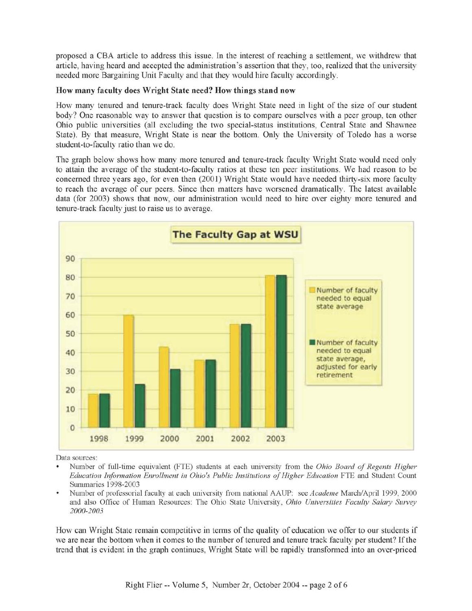proposed a CBA article to address this issue. In the interest of reaching a settlement, we withdrew that article, having heard and accepted the administration's assertion that they, too, realized that the university needed more Bargaining Unit Faculty and that they would hire faculty accordingly.

#### How many faculty does Wright State need? How things stand now

How many tenured and tenure-track faculty does Wright State need in light of the size of our student body? One reasonable way to answer that question is to compare ourselves with a peer group, ten other Ohio public universities (all excluding the two special-status institutions, Central State and Shawnee State). By that measure, Wright State is near the bottom. Only the University of Toledo has a worse student-to-faculty ratio than we do.

The graph below shows how many more tenured and tenure-track faculty Wright State would need only to attain the average of the student-to-faculty ratios at these ten peer institutions. We had reason to be concerned three years ago, for even then (2001) Wright State would have needed thirty-six more faculty to reach the average of our peers. Since then matters have worsened dramatically. The latest available data (for 2003) shows that now, our administration would need to hire over eighty more tenured and tenure-track faculty just to raise us to average.



Data sources:

- Number of full-time equivalent (FIE) students at each university from the *Ohio Board of Regents Higher*  Education Information Enrollment in Ohio's Public Institutions of Higher Education FTE and Student Count Summaries 1998-2003
- Number of professorial faculty at each university from national AAUP: see *Academe* March/April 1999, 2000 and also Office of Human Resources: Ihe Ohio State University, *Ohio Universities Faculty Salary Survey 2000-2003*

How can Wright State remain competitive in terms of the quality of education we offer to our students if we are near the bottom when it comes to the number of tenured and tenure track faculty per student? If the trend that is evident in the graph continues, Wright State will be rapidly transformed into an over-priced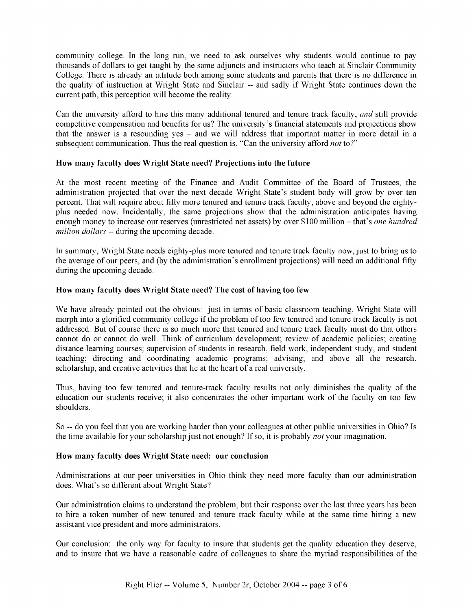community college. In the long run, we need to ask ourselves why students would continue to pay thousands of dollars to get taught by the same adjuncts and instructors who teach at Sinclair Community College. There is already an attitude both among some students and parents that there is no difference in the quality of instruction at Wright State and Sinclair -- and sadly if Wright State continues down the current path, this perception will become the reality.

Can the university afford to hire this many additional tenured and tenure track faculty, *and* still provide competitive compensation and benefits for us? The university's financial statements and projections show that the answer is a resounding yes - and we will address that important matter in more detail in a subsequent communication. Thus the real question is, "Can the university afford *not* to?"

#### How many faculty does Wright State need? Projections into the future

At the most recent meeting of the Finance and Audit Committee of the Board of Trustees, the administration projected that over the next decade Wright State's student body will grow by over ten percent. That will require about fifty more tenured and tenure track faculty, above and beyond the eightyplus needed now. Incidentally, the same projections show that the administration anticipates having enough money to increase our reserves (unrestricted net assets) by over \$100 million – that's *one hundred million dollars* -- during the upcoming decade.

In summary, Wright State needs eighty-plus more tenured and tenure track faculty now, just to bring us to the average of our peers, and (by the administration's enrollment projections) will need an additional fifty during the upcoming decade.

#### How many faculty does Wright State need? The cost of having too few

We have already pointed out the obvious: just in terms of basic classroom teaching, Wright State will morph into a glorified community college if the problem of too few tenured and tenure track faculty is not addressed. But of course there is so much more that tenured and tenure track faculty must do that others cannot do or cannot do well. Think of curriculum development; review of academic policies; creating distance learning courses; supervision of students in research, field work, independent study, and student teaching; directing and coordinating academic programs; advising; and above all the research, scholarship, and creative activities that lie at the heart of a real university.

Thus, having too few tenured and tenure-track faculty results not only diminishes the quality of the education our students receive; it also concentrates the other important work of the faculty on too few shoulders.

So -- do you feel that you are working harder than your colleagues at other public universities in Ohio? Is the time available for your scholarship just not enough? If so, it is probably *not* your imagination.

#### How many faculty does Wright State need: our conclusion

Administrations at our peer universities in Ohio think they need more faculty than our administration does. What's so different about Wright State?

Our administration claims to understand the problem, but their response over the last three years has been to hire a token number of new tenured and tenure track faculty while at the same time hiring a new assistant vice president and more administrators.

Our conclusion: the only way for faculty to insure that students get the quality education they deserve, and to insure that we have a reasonable cadre of colleagues to share the myriad responsibilities of the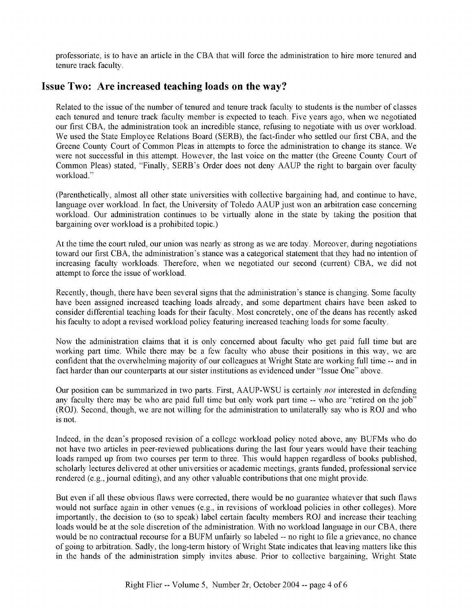professoriate, is to have an article in the CBA that will force the administration to hire more tenured and tenure track faculty.

#### **Issue Two: Are increased teaching loads on the way?**

Related to the issue of the number of tenured and tenure track faculty to students is the number of classes each tenured and tenure track faculty member is expected to teach. Five years ago, when we negotiated our first CBA, the administration took an incredible stance, refusing to negotiate with us over workload. We used the State Employee Relations Board (SERB), the fact-finder who settled our first CBA, and the Greene County Court of Common Pleas in attempts to force the administration to change its stance. We were not successful in this attempt. However, the last voice on the matter (the Greene County Court of Common Pleas) stated, "Finally, SERB's Order does not deny AAUP the right to bargain over faculty workload."

(Parenthetically, almost all other state universities with collective bargaining had, and continue to have, language over workload. In fact, the University of Toledo AAUP just won an arbitration case concerning workload. Our administration continues to be virtually alone in the state by taking the position that bargaining over workload is a prohibited topic.)

At the time the court ruled, our union was nearly as strong as we are today. Moreover, during negotiations toward our first CBA, the administration's stance was a categorical statement that they had no intention of increasing faculty workloads. Therefore, when we negotiated our second (current) CBA, we did not attempt to force the issue of workload.

Recently, though, there have been several signs that the administration's stance is changing. Some faculty have been assigned increased teaching loads already, and some department chairs have been asked to consider differential teaching loads for their faculty. Most concretely, one of the deans has recently asked his faculty to adopt a revised workload policy featuring increased teaching loads for some faculty.

Now the administration claims that it is only concerned about faculty who get paid full time but are working part time. While there may be a few faculty who abuse their positions in this way, we are confident that the overwhelming majority of our colleagues at Wright State are working full time -- and in fact harder than our counterparts at our sister institutions as evidenced under "Issue One" above.

Our position can be summarized in two parts. First, AAUP-WSU is certainly *not* interested in defending any faculty there may be who are paid full time but only work part time -- who are "retired on the job" (ROJ). Second, though, we are not willing for the administration to unilaterally say who is ROJ and who is not.

Indeed, in the dean's proposed revision of a college workload policy noted above, any BUFMs who do not have two articles in peer-reviewed publications during the last four years would have their teaching loads ramped up from two courses per term to three. This would happen regardless of books published, scholarly lectures delivered at other universities or academic meetings, grants funded, professional service rendered (e.g., journal editing), and any other valuable contributions that one might provide.

But even if all these obvious flaws were corrected, there would be no guarantee whatever that such flaws would not surface again in other venues (e.g., in revisions of workload policies in other colleges). More importantly, the decision to (so to speak) label certain faculty members ROJ and increase their teaching loads would be at the sole discretion of the administration. With no workload language in our CBA, there would be no contractual recourse for a BUFM unfairly so labeled -- no right to file a grievance, no chance of going to arbitration. Sadly, the long-term history of Wright State indicates that leaving matters like this in the hands of the administration simply invites abuse. Prior to collective bargaining, Wright State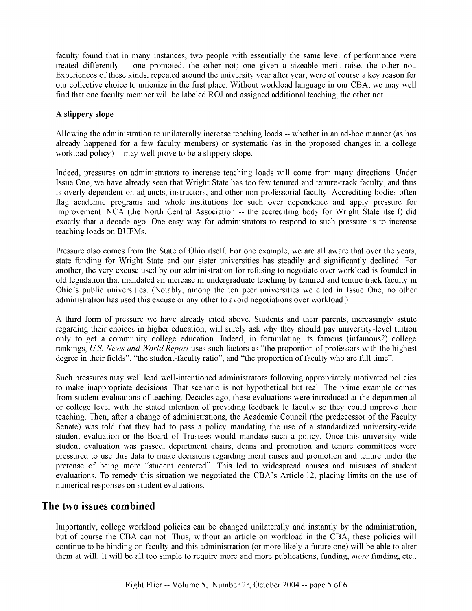faculty found that in many instances, two people with essentially the same level of performance were treated differently -- one promoted, the other not; one given a sizeable merit raise, the other not. Experiences of these kinds, repeated around the university year after year, were of course a key reason for our collective choice to unionize in the first place. Without workload language in our CBA, we may well find that one faculty member will be labeled ROJ and assigned additional teaching, the other not.

#### A slippery slope

Allowing the administration to unilaterally increase teaching loads -- whether in an ad-hoc manner (as has already happened for a few faculty members) or systematic (as in the proposed changes in a college workload policy) -- may well prove to be a slippery slope.

Indeed, pressures on administrators to increase teaching loads will come from many directions. Under Issue One, we have already seen that Wright State has too few tenured and tenure-track faculty, and thus is overly dependent on adjuncts, instructors, and other non-professorial faculty. Accrediting bodies often flag academic programs and whole institutions for such over dependence and apply pressure for improvement. NCA (the North Central Association -- the accrediting body for Wright State itself) did exactly that a decade ago. One easy way for administrators to respond to such pressure is to increase teaching loads on BUFMs.

Pressure also comes from the State of Ohio itself. For one example, we are all aware that over the years, state funding for Wright State and our sister universities has steadily and significantly declined. For another, the very excuse used by our administration for refusing to negotiate over workload is founded in old legislation that mandated an increase in undergraduate teaching by tenured and tenure track faculty in Ohio's public universities. (Notably, among the ten peer universities we cited in Issue One, no other administration has used this excuse or any other to avoid negotiations over workload.)

A third form of pressure we have already cited above. Students and their parents, increasingly astute regarding their choices in higher education, will surely ask why they should pay university-level tuition only to get a community college education. Indeed, in formulating its famous (infamous?) college rankings, *Us. News and World Report* uses such factors as "the proportion of professors with the highest degree in their fields", "the student-faculty ratio", and "the proportion of faculty who are full time".

Such pressures may well lead well-intentioned administrators following appropriately motivated policies to make inappropriate decisions. That scenario is not hypothetical but real. The prime example comes from student evaluations of teaching. Decades ago, these evaluations were introduced at the departmental or college level with the stated intention of providing feedback to faculty so they could improve their teaching. Then, after a change of administrations, the Academic Council (the predecessor of the Faculty Senate) was told that they had to pass a policy mandating the use of a standardized university-wide student evaluation or the Board of Trustees would mandate such a policy. Once this university wide student evaluation was passed, department chairs, deans and promotion and tenure committees were pressured to use this data to make decisions regarding merit raises and promotion and tenure under the pretense of being more "student centered". This led to widespread abuses and misuses of student evaluations. To remedy this situation we negotiated the CBA's Article 12, placing limits on the use of numerical responses on student evaluations.

#### **The two issues combined**

Importantly, college workload policies can be changed unilaterally and instantly by the administration, but of course the CBA can not. Thus, without an article on workload in the CBA, these policies will continue to be binding on faculty and this administration (or more likely a future one) will be able to alter them at will. It will be all too simple to require more and more publications, funding, *more* funding, etc.,